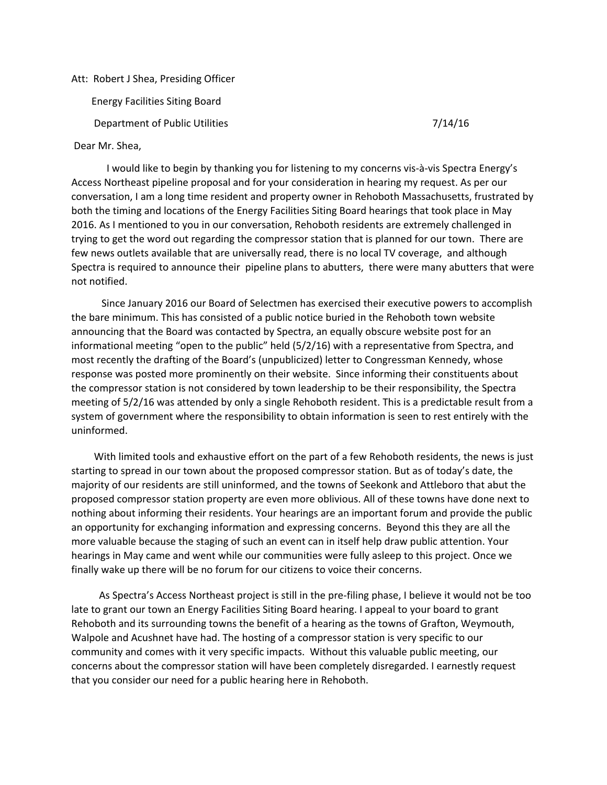## Att: Robert J Shea, Presiding Officer

Energy Facilities Siting Board

Department of Public Utilities 7/14/16

Dear Mr. Shea,

I would like to begin by thanking you for listening to my concerns vis-à-vis Spectra Energy's Access Northeast pipeline proposal and for your consideration in hearing my request. As per our conversation, I am a long time resident and property owner in Rehoboth Massachusetts, frustrated by both the timing and locations of the Energy Facilities Siting Board hearings that took place in May 2016. As I mentioned to you in our conversation, Rehoboth residents are extremely challenged in trying to get the word out regarding the compressor station that is planned for our town. There are few news outlets available that are universally read, there is no local TV coverage, and although Spectra is required to announce their pipeline plans to abutters, there were many abutters that were not notified.

Since January 2016 our Board of Selectmen has exercised their executive powers to accomplish the bare minimum. This has consisted of a public notice buried in the Rehoboth town website announcing that the Board was contacted by Spectra, an equally obscure website post for an informational meeting "open to the public" held (5/2/16) with a representative from Spectra, and most recently the drafting of the Board's (unpublicized) letter to Congressman Kennedy, whose response was posted more prominently on their website. Since informing their constituents about the compressor station is not considered by town leadership to be their responsibility, the Spectra meeting of 5/2/16 was attended by only a single Rehoboth resident. This is a predictable result from a system of government where the responsibility to obtain information is seen to rest entirely with the uninformed.

With limited tools and exhaustive effort on the part of a few Rehoboth residents, the news is just starting to spread in our town about the proposed compressor station. But as of today's date, the majority of our residents are still uninformed, and the towns of Seekonk and Attleboro that abut the proposed compressor station property are even more oblivious. All of these towns have done next to nothing about informing their residents. Your hearings are an important forum and provide the public an opportunity for exchanging information and expressing concerns. Beyond this they are all the more valuable because the staging of such an event can in itself help draw public attention. Your hearings in May came and went while our communities were fully asleep to this project. Once we finally wake up there will be no forum for our citizens to voice their concerns.

As Spectra's Access Northeast project is still in the prefiling phase, I believe it would not be too late to grant our town an Energy Facilities Siting Board hearing. I appeal to your board to grant Rehoboth and its surrounding towns the benefit of a hearing as the towns of Grafton, Weymouth, Walpole and Acushnet have had. The hosting of a compressor station is very specific to our community and comes with it very specific impacts. Without this valuable public meeting, our concerns about the compressor station will have been completely disregarded. I earnestly request that you consider our need for a public hearing here in Rehoboth.